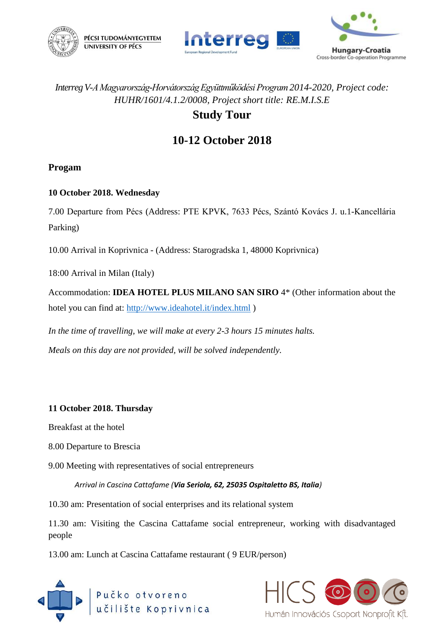





# *Interreg V-A Magyarország-Horvátország Együttműködési Program2014-2020, Project code: HUHR/1601/4.1.2/0008, Project short title: RE.M.I.S.E*

### **Study Tour**

# **10-12 October 2018**

### **Progam**

### **10 October 2018. Wednesday**

7.00 Departure from Pécs (Address: PTE KPVK, 7633 Pécs, Szántó Kovács J. u.1-Kancellária Parking)

10.00 Arrival in Koprivnica - (Address: Starogradska 1, 48000 Koprivnica)

18:00 Arrival in Milan (Italy)

Accommodation: **IDEA HOTEL PLUS MILANO SAN SIRO** 4\* (Other information about the hotel you can find at:<http://www.ideahotel.it/index.html> )

*In the time of travelling, we will make at every 2-3 hours 15 minutes halts. Meals on this day are not provided, will be solved independently.* 

### **11 October 2018. Thursday**

Breakfast at the hotel

- 8.00 Departure to Brescia
- 9.00 Meeting with representatives of social entrepreneurs

*Arrival in Cascina Cattafame (Via Seriola, 62, 25035 Ospitaletto BS, Italia)*

10.30 am: Presentation of social enterprises and its relational system

11.30 am: Visiting the Cascina Cattafame social entrepreneur, working with disadvantaged people

13.00 am: Lunch at Cascina Cattafame restaurant ( 9 EUR/person)